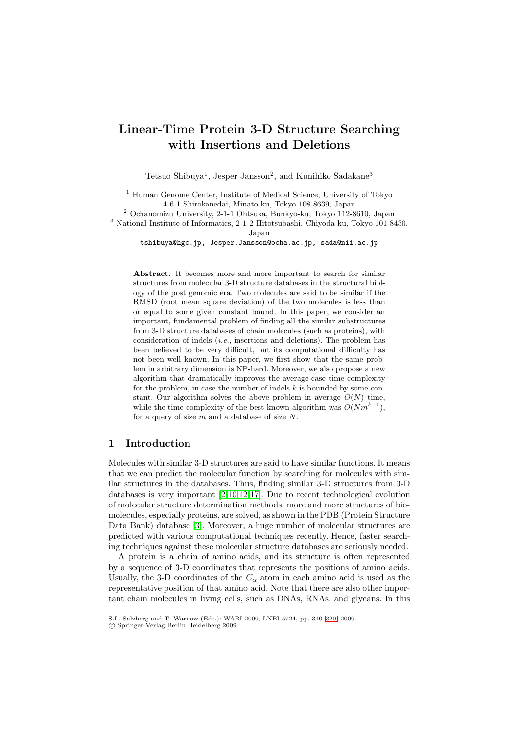# **Linear-Time Protein 3-D Structure Searching with Insertions and Deletions**

Tetsuo Shibuya<sup>1</sup>, Jesper Jansson<sup>2</sup>, and Kunihiko Sadakane<sup>3</sup>

<sup>1</sup> Human Genome Center, Institute of Medical Science, University of Tokyo 4-6-1 Shirokanedai, Minato-ku, Tokyo 108-8639, Japan

 $^2$  Ochanomizu University, 2-1-1 Ohtsuka, Bunkyo-ku, Tokyo 112-8610, Japan

<sup>3</sup> National Institute of Informatics, 2-1-2 Hitotsubashi, Chiyoda-ku, Tokyo 101-8430, Japan

tshibuya@hgc.jp, Jesper.Jansson@ocha.ac.jp, sada@nii.ac.jp

**Abstract.** It becomes more and more important to search for similar structures from molecular 3-D structure databases in the structural biology of the post genomic era. Two molecules are said to be similar if the RMSD (root mean square deviation) of the two molecules is less than or equal to some given constant bound. In this paper, we consider an important, fundamental problem of finding all the similar substructures from 3-D structure databases of chain molecules (such as proteins), with consideration of indels (*i.e.*, insertions and deletions). The problem has been believed to be very difficult, but its computational difficulty has not been well known. In this paper, we first show that the same problem in arbitrary dimension is NP-hard. Moreover, we also propose a new algorithm that dramatically improves the average-case time complexity for the problem, in case the number of indels *k* is bounded by some constant. Our algorithm solves the above problem in average  $O(N)$  time, while the time complexity of the best known algorithm was  $O(Nm^{k+1})$ , for a query of size *m* and a database of size *N*.

## **1 Introduction**

Molecules with similar 3-D structures are said to have similar functions. It means that we can predict the molecular function by searching for molecules with similar structures in the databases. Thus, finding similar 3-D structures from 3-D databases is very important [2,10,12,17]. Due to recent technological evolution of molecular structure determination methods, more and more structures of biomolecules, especially proteins, are solved, as shown in the PDB (Protein Structure Data Bank) database [3]. Moreover, a huge number of molecular structures are predicted with various comp[ut](#page-9-0)[atio](#page-9-1)[na](#page-9-2)[l te](#page-10-0)chniques recently. Hence, faster searching techniques against these molecular structure databases are seriously needed.

A protein is a chain of amino acids, and its structure is often represented by a sequence of 3-D [co](#page-9-3)ordinates that represents the positions of amino acids. Usually, the 3-D coordinates of the  $C_{\alpha}$  atom in each amino acid is used as the representative position of that amino acid. Note that there are also other important chain molecules in living cells, such as DNAs, RNAs, and glycans. In this

S.L. Salzberg and T. Warnow (Eds.): WABI 2009, LNBI 5724, pp. 310–320, 2009.

<sup>-</sup>c Springer-Verlag Berlin Heidelberg 2009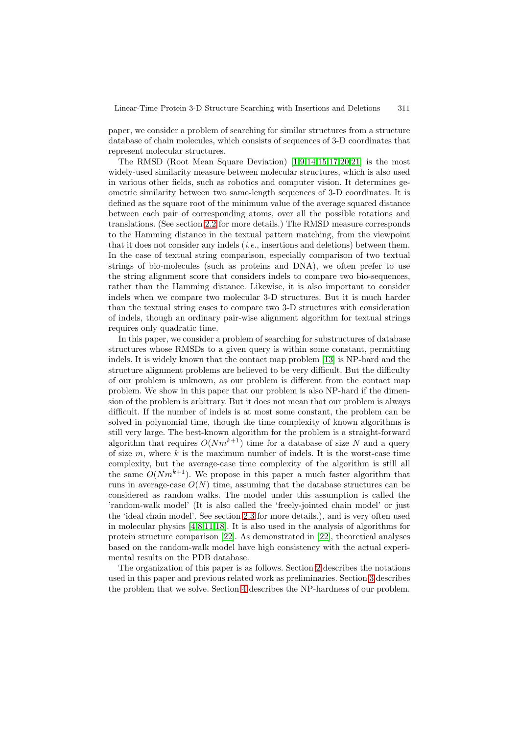paper, we consider a problem of searching for similar structures from a structure database of chain molecules, which consists of sequences of 3-D coordinates that represent molecular structures.

The RMSD (Root Mean Square Deviation) [1,9,14,15,17,20,21] is the most widely-used similarity measure between molecular structures, which is also used in various other fields, such as robotics and computer vision. It determines geometric similarity between two same-length sequences of 3-D coordinates. It is defined as the square root of the minimum value [of](#page-9-4) [t](#page-9-5)[he](#page-9-6) [ave](#page-9-7)[ra](#page-10-0)[ge s](#page-10-1)[qua](#page-10-2)red distance between each pair of corresponding atoms, over all the possible rotations and translations. (See section 2.2 for more details.) The RMSD measure corresponds to the Hamming distance in the textual pattern matching, from the viewpoint that it does not consider any indels (*i.e.*, insertions and deletions) between them. In the case of textual string comparison, especially comparison of two textual strings of bio-molecules [\(suc](#page-2-0)h as proteins and DNA), we often prefer to use the string alignment score that considers indels to compare two bio-sequences, rather than the Hamming distance. Likewise, it is also important to consider indels when we compare two molecular 3-D structures. But it is much harder than the textual string cases to compare two 3-D structures with consideration of indels, though an ordinary pair-wise alignment algorithm for textual strings requires only quadratic time.

In this paper, we consider a problem of searching for substructures of database structures whose RMSDs to a given query is within some constant, permitting indels. It is widely known that the contact map problem [13] is NP-hard and the structure alignment problems are believed to be very difficult. But the difficulty of our problem is unknown, as our problem is different from the contact map problem. We show in this paper that our problem is also NP-hard if the dimension of the problem is arbitrary. But it does not mean tha[t ou](#page-9-8)r problem is always difficult. If the number of indels is at most some constant, the problem can be solved in polynomial time, though the time complexity of known algorithms is still very large. The best-known algorithm for the problem is a straight-forward algorithm that requires  $O(Nm^{k+1})$  time for a database of size N and a query of size  $m$ , where k is the maximum number of indels. It is the worst-case time complexity, but the average-case time complexity of the algorithm is still all the same  $O(Nm^{k+1})$ . We propose in this paper a much faster algorithm that runs in average-case  $O(N)$  time, assuming that the database structures can be considered as random walks. The model under this assumption is called the 'random-walk model' (It is also called the 'freely-jointed chain model' or just the 'ideal chain model'. See section 2.3 for more details.), and is very often used in molecular physics [4,8,11,18]. It is also used in the analysis of algorithms for protein structure comparison [22]. As demonstrated in [22], theoretical analyses based on the random-walk model have high consistency with the actual experimental results on the PDB databa[se.](#page-2-1)

The organization o[f](#page-9-9) [th](#page-9-10)[is](#page-9-11) [pap](#page-10-3)er is as follows. Section 2 describes the notations used in this paper and previou[s re](#page-10-4)lated work as prelimin[arie](#page-10-4)s. Section 3 describes the problem that we solve. Section 4 describes the NP-hardness of our problem.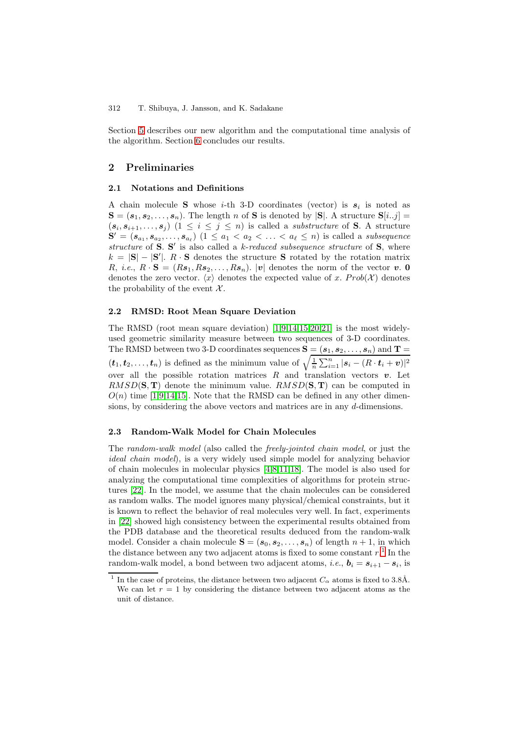Section 5 describes our new algorithm and the computational time analysis of the algorithm. Section 6 concludes our results.

# **2 P[rel](#page-6-0)iminaries**

## **2.1 Notations and [D](#page-8-0)efinitions**

A chain molecule **S** whose *i*-th 3-D coordinates (vector) is  $s_i$  is noted as  $\mathbf{S} = (\mathbf{s}_1, \mathbf{s}_2, \dots, \mathbf{s}_n)$ . The length n of **S** is denoted by  $|\mathbf{S}|$ . A structure  $\mathbf{S}[i..j] =$  $(s_i, s_{i+1},..., s_j)$   $(1 \leq i \leq j \leq n)$  is called a *substructure* of **S**. A structure  $\mathbf{S}' = (\mathbf{s}_{a_1}, \mathbf{s}_{a_2}, \dots, \mathbf{s}_{a_\ell}) \ (1 \leq a_1 < a_2 < \dots < a_\ell \leq n)$  is called a *subsequence structure* of **S**. **S** is also called a k-*reduced subsequence structure* of **S**, where k = |**S**|−|**S** |. R · **S** denotes the structure **S** rotated by the rotation matrix R, *i.e.*,  $R \cdot S = (Rs_1, Rs_2, \ldots, Rs_n)$ . |*v*| denotes the norm of the vector *v*. 0 denotes the zero vector.  $\langle x \rangle$  denotes the expected value of x.  $Prob(X)$  denotes the probability of the event  $\mathcal{X}$ .

#### **2.2 RMSD: Root Mean Square Deviation**

<span id="page-2-0"></span>The RMSD (root mean square deviation)  $[1,9,14,15,20,21]$  is the most widelyused geometric similarity measure between two sequences of 3-D coordinates. The RMSD between two 3-D coordinates sequences  $S = (s_1, s_2, \ldots, s_n)$  and  $T =$  $(\boldsymbol{t}_1, \boldsymbol{t}_2, \ldots, \boldsymbol{t}_n)$  is defined as the minimum value of  $\sqrt{\frac{1}{n} \sum_{i=1}^n |\boldsymbol{s}_i - (R \cdot \boldsymbol{t}_i + \boldsymbol{v})|^2}$ over all [t](#page-9-7)he possible rotation matrices  $R$  [and](#page-9-6) t[ran](#page-10-1)[slat](#page-10-2)ion vectors  $v$ . Let  $RMSD(\mathbf{S}, \mathbf{T})$  denote the minimum value.  $RMSD(\mathbf{S}, \mathbf{T})$  can be computed in  $O(n)$  time [1,9,14,15]. Note that the RMSD can be defined in any other dimensions, by considering the above vectors and matrices are in any d-dimensions.

## **2.3 Ran[do](#page-9-4)[m](#page-9-5)[-](#page-9-6)[Wal](#page-9-7)k Model for Chain Molecules**

<span id="page-2-1"></span>The *random-walk model* (also called the *freely-jointed chain model*, or just the *ideal chain model*), is a very widely used simple model for analyzing behavior of chain molecules in molecular physics [4,8,11,18]. The model is also used for analyzing the computational time complexities of algorithms for protein structures [22]. In the model, we assume that the chain molecules can be considered as random walks. The model ignores many physical/chemical constraints, but it is known to reflect the behavior of real m[ol](#page-9-9)[ec](#page-9-10)[ule](#page-9-11)[s v](#page-10-3)ery well. In fact, experiments in [22] showed high consistency between the experimental results obtained from the P[DB](#page-10-4) database and the theoretical results deduced from the random-walk model. Consider a chain molecule  $S = (s_0, s_2, \ldots, s_n)$  of length  $n + 1$ , in which the distance between any two adjacent atoms is fixed to some constant  $r$ .<sup>1</sup> In the ra[ndom](#page-10-4)-walk model, a bond between two adjacent atoms, *i.e.*,  $\mathbf{b}_i = \mathbf{s}_{i+1} - \mathbf{s}_i$ , is

<span id="page-2-2"></span>In the case of proteins, the distance between two adjacent  $C_{\alpha}$  atoms is fixed to 3.8Å. We can let  $r = 1$  by considering the distance between two adjacent ato[ms](#page-2-2) as the unit of distance.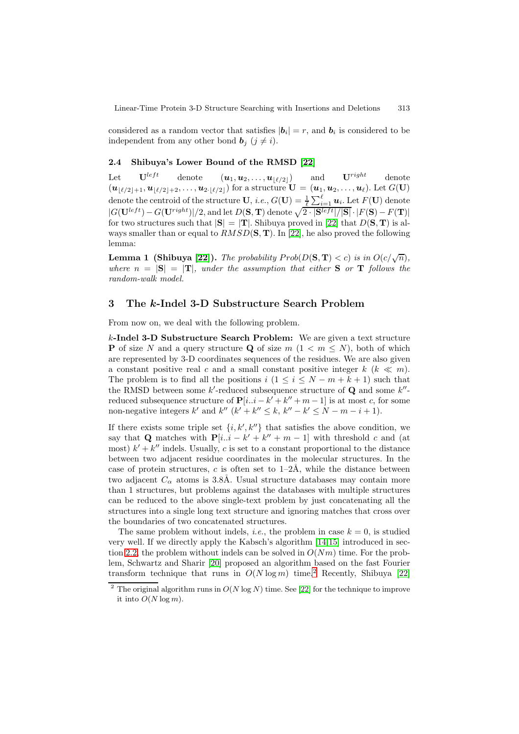considered as a random vector that satisfies  $|\boldsymbol{b}_i| = r$ , and  $\boldsymbol{b}_i$  is considered to be independent from any other bond  $\mathbf{b}_j$  ( $j \neq i$ ).

#### **2.4 Shibuya's Lower Bound of the RMSD [22]**

<span id="page-3-1"></span>Let  $\mathbf{U}^{left}$  denote  $(\mathbf{u}_1, \mathbf{u}_2, \dots, \mathbf{u}_{\lfloor \ell/2 \rfloor})$  and  $\mathbf{U}^{right}$  denote  $(\bm{u}_{\lfloor \ell/2 \rfloor+1}, \bm{u}_{\lfloor \ell/2 \rfloor+2}, \ldots, \bm{u}_{2 \cdot \lfloor \ell/2 \rfloor})$  for a structure  $\mathbf{U} = (\bm{u}_1, \bm{u}_2, \ldots, \bm{u}_\ell)$ . Let  $G(\mathbf{U})$ denote the centroid of the structure **U**, *i.e.*,  $G(\mathbf{U}) = \frac{1}{\ell}$ ŕ  $i.e., G(\mathbf{U}) = \frac{1}{\ell} \sum_{i=1}^{\ell} \mathbf{u}_i$ . Let  $F(\mathbf{U})$  denote  $|G(\mathbf{U}^{left}) - G(\mathbf{U}^{right})|/2$ , and let  $D(\mathbf{S}, \mathbf{T})$  denote  $\sqrt{2 \cdot |\mathbf{S}^{left}|/|\mathbf{S}|} \cdot |F(\mathbf{S}) - F(\mathbf{T})|}$ for two structures such that  $|\mathbf{S}| = |\mathbf{T}|$ . Shibuya proved in [22] that  $D(\mathbf{S}, \mathbf{T})$  is always smaller than or equal to RMSD(**S**, **T**). In [22], he also proved the following lemma:

**Lemma 1 (Shibuya [22]).** *The probability*  $Prob(D(S, T) < c)$  *is in*  $O(c/\sqrt{n})$ *, wh[er](#page-10-4)e*  $n = |\mathbf{S}| = |\mathbf{T}|$ *, under the assumption [tha](#page-10-4)t either* **S** *or* **T** *follows the random-walk model.*

## <span id="page-3-2"></span>**3 The** *k***-Indel 3[-D](#page-10-4) Substructure Search Problem**

From now on, we deal with the following problem.

<span id="page-3-0"></span>k**-Indel 3-D Substructure Search Problem:** We are given a text structure **P** of size N and a query structure **Q** of size  $m$   $(1 \lt m \leq N)$ , both of which are represented by 3-D coordinates sequences of the residues. We are also given a constant positive real c and a small constant positive integer  $k \ (\& \ll m)$ . The problem is to find all the positions  $i (1 \leq i \leq N-m+k+1)$  such that the RMSD between some  $k'$ -reduced subsequence structure of **Q** and some  $k''$ reduced subsequence structure of  $P[i..i - k' + k'' + m - 1]$  is at most c, for some non-negative integers k' and k'' (k' + k''  $\leq k$ , k'' – k'  $\leq N - m - i + 1$ ).

If there exists some triple set  $\{i, k', k''\}$  that satisfies the above condition, we say that **Q** matches with  $P[i..i - k' + k'' + m - 1]$  with threshold c and (at most)  $k' + k''$  indels. Usually, c is set to a constant proportional to the distance between two adjacent residue coordinates in the molecular structures. In the case of protein structures, c is often set to  $1-2\text{\AA}$ , while the distance between two adjacent  $C_{\alpha}$  atoms is 3.8Å. Usual structure databases may contain more than 1 structures, but problems against the databases with multiple structures can be reduced to the above single-text problem by just concatenating all the structures into a single long text structure and ignoring matches that cross over the boundaries of two concatenated structures.

The same problem without indels, *i.e.*, the problem in case  $k = 0$ , is studied very well. If we directly apply the Kabsch's algorithm [14,15] introduced in section 2.2, the problem without indels can be solved in  $O(Nm)$  time. For the problem, Schwartz and Sharir [20] proposed an algorithm based on the fast Fourier transform technique that runs in  $O(N \log m)$  time.<sup>2</sup> Recently, Shibuya [22]

<sup>&</sup>lt;sup>2</sup> The [or](#page-9-6)iginal algori[t](#page-9-7)hm runs in  $O(N \log N)$  time. See [22] for t[he](#page-9-7) technique to improve it [into](#page-2-0)  $O(N \log m)$ .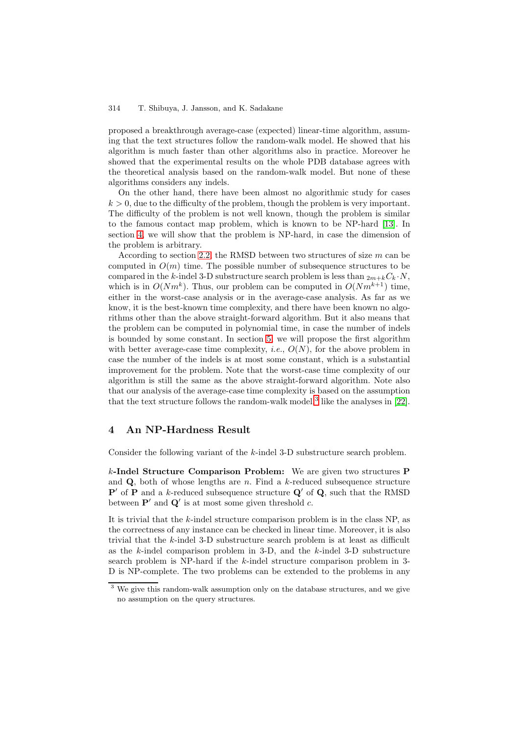proposed a breakthrough average-case (expected) linear-time algorithm, assuming that the text structures follow the random-walk model. He showed that his algorithm is much faster than other algorithms also in practice. Moreover he showed that the experimental results on the whole PDB database agrees with the theoretical analysis based on the random-walk model. But none of these algorithms considers any indels.

On the other hand, there have been almost no algorithmic study for cases  $k > 0$ , due to the difficulty of the problem, though the problem is very important. The difficulty of the problem is not well known, though the problem is similar to the famous contact map problem, which is known to be NP-hard [13]. In section 4, we will show that the problem is NP-hard, in case the dimension of the problem is arbitrary.

According to section 2.2, the RMSD between two structures of size  $m$  can be computed in  $O(m)$  time. The possible number of subsequence structure[s to](#page-9-8) be compar[ed](#page-4-0) in the k-indel 3-D substructure search problem is less than  $2m+k\ddot{C}_k \cdot N$ , which is in  $O(Nm^k)$ . Thus, our problem can be computed in  $O(Nm^{k+1})$  time, either in the worst-cas[e an](#page-2-0)alysis or in the average-case analysis. As far as we know, it is the best-known time complexity, and there have been known no algorithms other than the above straight-forward algorithm. But it also means that the problem can be computed in polynomial time, in case the number of indels is bounded by some constant. In section 5, we will propose the first algorithm with better average-case time complexity, *i.e.*,  $O(N)$ , for the above problem in case the number of the indels is at most some constant, which is a substantial improvement for the problem. Note that the worst-case time complexity of our algorithm is still the same as the above [st](#page-6-0)raight-forward algorithm. Note also that our analysis of the average-case time complexity is based on the assumption that the text structure follows the random-walk model,<sup>3</sup> like the analyses in [22].

## **4 An NP-Hardness Result**

Consider the following variant of the k-indel 3-D subs[tr](#page-4-1)ucture search probl[em.](#page-10-4)

<span id="page-4-0"></span>k**-Indel Structure Comparison Problem:** We are given two structures **P** and  $Q$ , both of whose lengths are  $n$ . Find a  $k$ -reduced subsequence structure  $P'$  of P and a k-reduced subsequence structure  $Q'$  of  $Q$ , such that the RMSD between  $P'$  and  $Q'$  is at most some given threshold c.

It is trivial that the  $k$ -indel structure comparison problem is in the class NP, as the correctness of any instance can be checked in linear time. Moreover, it is also trivial that the k-indel 3-D substructure search problem is at least as difficult as the  $k$ -indel comparison problem in 3-D, and the  $k$ -indel 3-D substructure search problem is NP-hard if the k-indel structure comparison problem in 3- D is NP-complete. The two problems can be extended to the problems in any

<span id="page-4-1"></span><sup>&</sup>lt;sup>3</sup> We give this random-walk assumption only on the database structures, and we give no assumption on the query structures.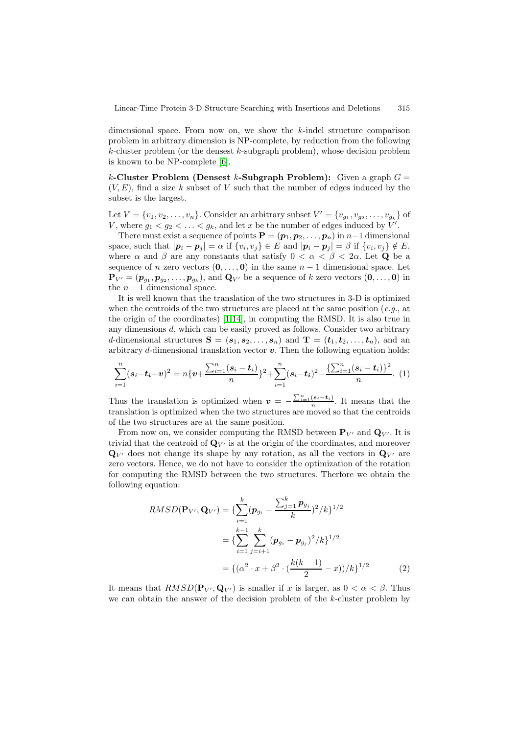dimensional space. From now on, we show the k-indel structure comparison problem in arbitrary dimension is NP-complete, by reduction from the following  $k$ -cluster problem (or the densest  $k$ -subgraph problem), whose decision problem is known to be NP-complete [6].

k**-Cluster Problem (Densest** k**-Subgraph Problem):** Given a graph G =  $(V, E)$ , find a size k subset of V such that the number of edges induced by the subset is the largest.

Let  $V = \{v_1, v_2, \ldots, v_n\}$ . Consider an arbitrary subset  $V' = \{v_{g_1}, v_{g_2}, \ldots, v_{g_k}\}$  of V, where  $g_1 < g_2 < \ldots < g_k$ , and let x be the number of edges induced by V'.<br>There must evide a securing of points  $\mathbf{P}_{\text{max}}$  ( $\alpha$ ,  $\alpha$ ,  $\alpha$ ) in  $\alpha$ , dimension

There must exist a sequence of points  $\mathbf{P} = (\mathbf{p}_1, \mathbf{p}_2, \dots, \mathbf{p}_n)$  in  $n-1$  dimensional space, such that  $|\mathbf{p}_i - \mathbf{p}_j| = \alpha$  if  $\{v_i, v_j\} \in E$  and  $|\mathbf{p}_i - \mathbf{p}_j| = \beta$  if  $\{v_i, v_j\} \notin E$ , where  $\alpha$  and  $\beta$  are any constants that satisfy  $0 < \alpha < \beta < 2\alpha$ . Let **Q** be a sequence of *n* zero vectors  $(0,\ldots,0)$  in the same  $n-1$  dimensional space. Let  $\mathbf{P}_{V'} = (\mathbf{p}_{g_1}, \mathbf{p}_{g_2}, \dots, \mathbf{p}_{g_k})$ , and  $\mathbf{Q}_{V'}$  be a sequence of k zero vectors  $(\mathbf{0}, \dots, \mathbf{0})$  in the n  $\mathbf{Q}_{V'}$  dimensional grass. the  $n-1$  dimensional space.

It is well known that the translation of the two structures in 3-D is optimized when the centroids of the two structures are placed at the same position (*e.g.*, at the origin of the coordinates) [1,14], in computing the RMSD. It is also true in any dimensions d, which can be easily proved as follows. Consider two arbitrary d-dimensional structures  $S = (s_1, s_2, \ldots, s_n)$  and  $T = (t_1, t_2, \ldots, t_n)$ , and an arbitrary  $d$ -dimensional translation vector  $v$ . Then the following equation holds:

$$
\sum_{i=1}^{n} (\mathbf{s}_i - \mathbf{t}_i + \mathbf{v})^2 = n\{\mathbf{v} + \frac{\sum_{i=1}^{n} (\mathbf{s}_i - \mathbf{t}_i)}{n}\}^2 + \sum_{i=1}^{n} (\mathbf{s}_i - \mathbf{t}_i)^2 - \frac{\{\sum_{i=1}^{n} (\mathbf{s}_i - \mathbf{t}_i)\}^2}{n}.
$$
 (1)

Thus the translation is optimized when  $v = -\frac{\sum_{i=1}^{n}(s_i-t_i)}{n}$ . It means that the translation is optimized when the two structures are moved so that the centroids translation is optimized when the two structures are moved so that the centroids of the two structures are at the same position.

From now on, we consider computing the RMSD between  $\mathbf{P}_{V'}$  and  $\mathbf{Q}_{V'}$ . It is trivial that the centroid of  $\mathbf{Q}_{V'}$  is at the origin of the coordinates, and moreover  $\mathbf{Q}_{V'}$  does not change its shape by any rotation, as all the vectors in  $\mathbf{Q}_{V'}$  are zero vectors. Hence, we do not have to consider the optimization of the rotation for computing the RMSD between the two structures. Therfore we obtain the following equation:

$$
RMSD(\mathbf{P}_{V'}, \mathbf{Q}_{V'}) = \{ \sum_{i=1}^{k} (\mathbf{p}_{g_i} - \frac{\sum_{j=1}^{k} \mathbf{p}_{g_j}}{k})^2 / k \}^{1/2}
$$
  
= 
$$
\{ \sum_{i=1}^{k-1} \sum_{j=i+1}^{k} (\mathbf{p}_{g_i} - \mathbf{p}_{g_j})^2 / k \}^{1/2}
$$
  
= 
$$
\{ (\alpha^2 \cdot x + \beta^2 \cdot (\frac{k(k-1)}{2} - x)) / k \}^{1/2}
$$
 (2)

It means that  $RMSD(\mathbf{P}_{V'}, \mathbf{Q}_{V'})$  is smaller if x is larger, as  $0 < \alpha < \beta$ . Thus we can obtain the answer of the decision problem of the  $k$ -cluster problem by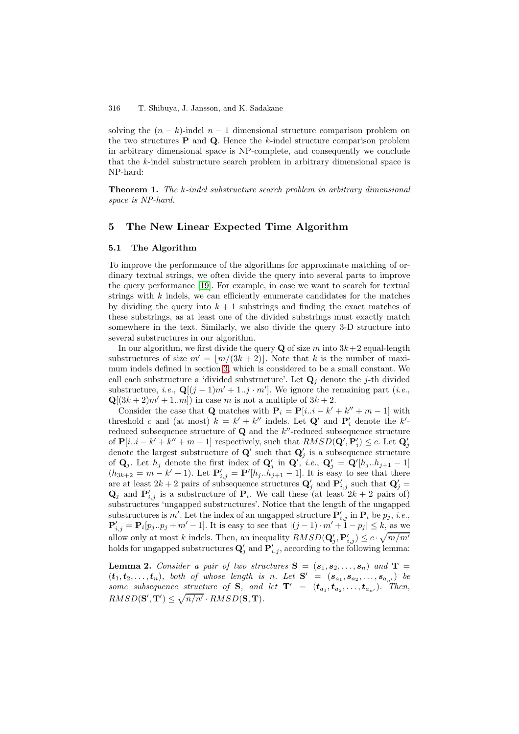solving the  $(n - k)$ -indel  $n - 1$  dimensional structure comparison problem on the two structures  $P$  and  $Q$ . Hence the  $k$ -indel structure comparison problem in arbitrary dimensional space is NP-complete, and consequently we conclude that the k-indel substructure search problem in arbitrary dimensional space is NP-hard:

**Theorem 1.** *The* k*-indel substructure search problem in arbitrary dimensional space is NP-hard.*

## **5 The New Linear Expected Time Algorithm**

#### **5.1 The Algorithm**

<span id="page-6-1"></span><span id="page-6-0"></span>To improve the performance of the algorithms for approximate matching of ordinary textual strings, we often divide the query into several parts to improve the query performance [19]. For example, in case we want to search for textual strings with  $k$  indels, we can efficiently enumerate candidates for the matches by dividing the query into  $k + 1$  substrings and finding the exact matches of these substrings, as at least one of the divided substrings must exactly match somewhere in the text. [Sim](#page-10-5)ilarly, we also divide the query 3-D structure into several substructures in our algorithm.

In our algorithm, we first divide the query **Q** of size m into  $3k+2$  equal-length substructures of size  $m' = \lfloor m/(3k+2) \rfloor$ . Note that k is the number of maximum indels defined in section 3, which is considered to be a small constant. We call each substructure a 'divided substructure'. Let  $\mathbf{Q}_j$  denote the j-th divided substructure, *i.e.*,  $\mathbf{Q}[(j-1)m'+1..j \cdot m']$ . We ignore the remaining part (*i.e.*,  $\mathbf{Q}[(3k+2)m'+1..m])$  in case m is not a multiple of  $3k+2$ .

Consider the case that **Q** [ma](#page-3-0)tches with  $P_i = P[i..i - k' + k'' + m - 1]$  with threshold c and (at most)  $k = k' + k''$  indels. Let  $\mathbf{Q}'$  and  $\mathbf{P}'_i$  denote the k'-<br>reduced subsequence structure of  $\mathbf{Q}$  and the k'' reduced subsequence structure reduced subsequence structure of  $Q$  and the  $k''$ -reduced subsequence structure of  $\mathbf{P}[i..i - k' + k'' + m - 1]$  respectively, such that  $RMSD(\mathbf{Q}', \mathbf{P}'_i) \leq c$ . Let  $\mathbf{Q}'_i$  donote the largest substructure of  $\mathbf{Q}'$  such that  $\mathbf{Q}'_i$  is a subsequence structure denote the largest substructure of **Q'** such that  $\mathbf{Q}'_j$  is a subsequence structure<br>of  $\mathbf{Q}_j$ . Let be denote the first index of  $\mathbf{Q}'$  in  $\mathbf{Q}'_j$  is a  $\mathbf{Q}' = \mathbf{Q}'_j [h_j, h_{j+1} - 1]$ of **Q**<sub>j</sub>. Let  $h_j$  denote the first index of **Q**'<sub>j</sub> in **Q**', *i.e.*, **Q**'<sub>j</sub> = **Q**'[ $h_j...h_{j+1} - 1$ ]<br>(*h*<sub>2</sub>,  $h_j = m - k' + 1$ ) Let  $\mathbf{P}' = \mathbf{P}'[h_j, h_{j+1} - 1]$  It is easy to see that there  $(h_{3k+2} = m - k' + 1)$ . Let  $\mathbf{P}'_{i,j} = \mathbf{P}'[h_j \dots h_{j+1} - 1]$ . It is easy to see that there are at least  $2k + 2$  pairs of subsequence structures  $\mathbf{Q}'_j$  and  $\mathbf{P}'_{i,j}$  such that  $\mathbf{Q}'_j = \mathbf{Q}_{i,j}$  and  $\mathbf{P}'_{i,j}$  is a substructure of  $\mathbf{P}_{i,j}$ . We call those (at least  $2k + 2$  pairs of)  $\mathbf{Q}_j$  and  $\mathbf{P}'_{i,j}$  is a substructure of  $\mathbf{P}_i$ . We call these (at least  $2k + 2$  pairs of) substructures 'ungapped substructures'. Notice that the least of the ungapped substructures 'ungapped substructures'. Notice that the length of the ungapped substructures is m'. Let the index of an ungapped structure  $\mathbf{P}'_{i,j}$  in  $\mathbf{P}_i$  be  $p_j$ , *i.e.*,  $\mathbf{P}' = \mathbf{P}_i[n, n_k + m'-1]$ . It is easy to see that  $|(i-1) \cdot m'+1-n_k| \leq k$ , as we  $\mathbf{P}'_{i,j} = \mathbf{P}_i[p_j \cdot p_j + m' - 1]$ . It is easy to see that  $|(j-1) \cdot m' + 1 - p_j| \le k$ , as we allow only at most k indels. Then, an inequality  $RMSD(\mathbf{Q}'_j, \mathbf{P}'_{i,j}) \leq c \cdot \sqrt{m/m'}$ <br>holds for ungapped substructures  $\mathbf{Q}'$  and  $\mathbf{P}'$  according to the following lemma: holds for ungapped substructures  $\mathbf{Q}'_j$  and  $\mathbf{P}'_{i,j}$ , according to the following lemma:

**Lemma 2.** *Consider a pair of two structures*  $S = (s_1, s_2, \ldots, s_n)$  *and*  $T =$  $(\mathbf{t}_1, \mathbf{t}_2, \ldots, \mathbf{t}_n)$ , both of whose length is n. Let  $\mathbf{S}' = (\mathbf{s}_{a_1}, \mathbf{s}_{a_2}, \ldots, \mathbf{s}_{a_n})$  be *some subsequence structure of* **S***, and let*  $\mathbf{T}' = (\mathbf{t}_{a_1}, \mathbf{t}_{a_2}, \dots, \mathbf{t}_{a_{n'}})$ *. Then,*  $RMSD(\mathbf{S}', \mathbf{T}') \leq \sqrt{n/n'} \cdot RMSD(\mathbf{S}, \mathbf{T}).$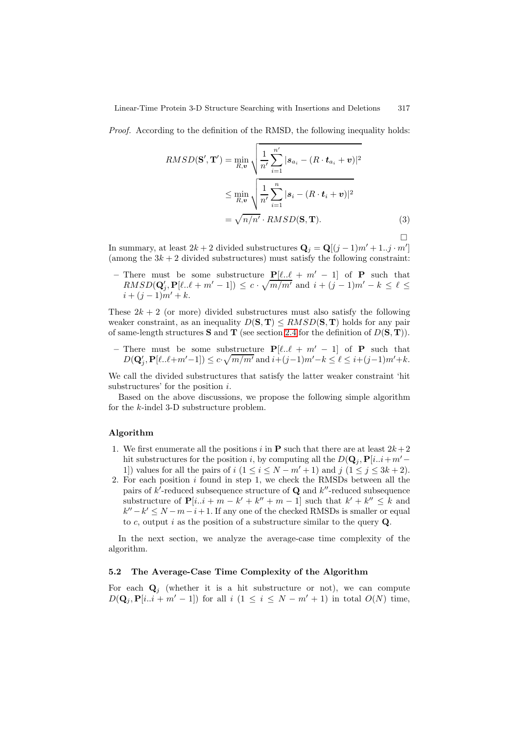*Proof.* According to the definition of the RMSD, the following inequality holds:

$$
RMSD(\mathbf{S}', \mathbf{T}') = \min_{R, \mathbf{v}} \sqrt{\frac{1}{n'} \sum_{i=1}^{n'} |s_{a_i} - (R \cdot \mathbf{t}_{a_i} + \mathbf{v})|^2}
$$
  

$$
\leq \min_{R, \mathbf{v}} \sqrt{\frac{1}{n'} \sum_{i=1}^{n} |s_i - (R \cdot \mathbf{t}_i + \mathbf{v})|^2}
$$
  

$$
= \sqrt{n/n'} \cdot RMSD(\mathbf{S}, \mathbf{T}).
$$
 (3)

 $\Box$ 

In summary, at least  $2k + 2$  divided substructures  $\mathbf{Q}_j = \mathbf{Q}[(j-1)m' + 1..j \cdot m']$ (among the  $3k + 2$  divided substructures) must satisfy the following constraint:

– There must be some substructure  $P[\ell..\ell + m' - 1]$  of **P** such that  $RMSD(\mathbf{Q}'_j, \mathbf{P}[\ell..\ell+m'-1]) \leq c \cdot \sqrt{m/m'}$  and  $i+(j-1)m'-k \leq \ell \leq i+(i-1)m'+k$  $i + (j - 1)m' + k$ .

These  $2k + 2$  (or more) divided substructures must also satisfy the following weaker constraint, as an inequality  $D(S, T) \leq RMSD(S, T)$  holds for any pair of same-length structures **S** and **T** (see section 2.4 for the definition of  $D(\mathbf{S}, \mathbf{T})$ ).

**–** There must be some substructure  $P[\ell..\ell + m' - 1]$  of **P** such that  $D(\mathbf{Q}'_j, \mathbf{P}[\ell..\ell+m'-1]) \le c \cdot \sqrt{m/m'} \text{ and } i+(j-1)m'-k \le \ell \le i+(j-1)m'+k.$ 

We call the divided substructures that satisfy [the](#page-3-1) latter weaker constraint 'hit substructures' for the position i.

Based on the above discussions, we propose the following simple algorithm for the k-indel 3-D substructure problem.

### **Algorithm**

- 1. We first enumerate all the positions i in **P** such that there are at least  $2k+2$ hit substructures for the position i, by computing all the  $D(\mathbf{Q}_i, \mathbf{P}[i..i+m'-])$ 1) values for all the pairs of  $i$   $(1 \le i \le N - m' + 1)$  and  $j$   $(1 \le j \le 3k + 2)$ .
- 2. For each position  $i$  found in step 1, we check the RMSDs between all the pairs of  $k'$ -reduced subsequence structure of  $\mathbf{Q}$  and  $k''$ -reduced subsequence substructure of  $P[i..i + m - k' + k'' + m - 1]$  such that  $k' + k'' \leq k$  and  $k'' - k' \le N - m - i + 1$ . If any one of the checked RMSDs is smaller or equal to c, output i as the position of a substructure similar to the query **Q**.

In the next section, we analyze the average-case time complexity of the algorithm.

## **5.2 The Average-Case Time Complexity of the Algorithm**

For each  $\mathbf{Q}_i$  (whether it is a hit substructure or not), we can compute  $D(\mathbf{Q}_i, \mathbf{P}[i..i + m' - 1])$  for all  $i \ (1 \leq i \leq N - m' + 1)$  in total  $O(N)$  time,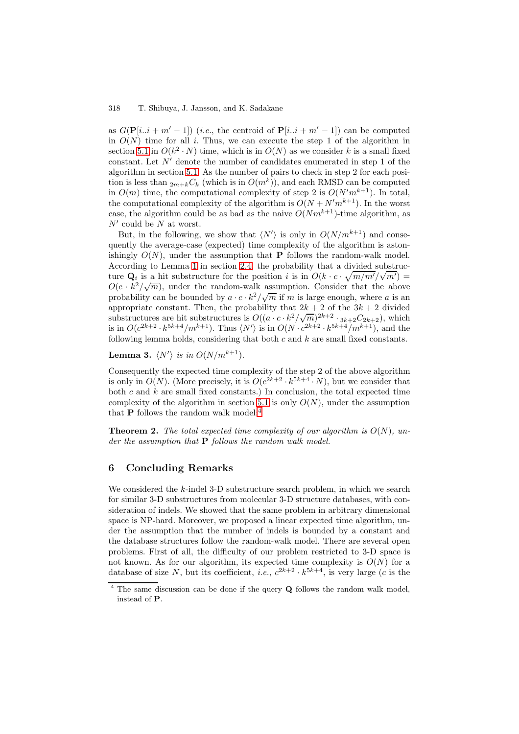as  $G(\mathbf{P}[i..i+m'-1])$  (*i.e.*, the centroid of  $\mathbf{P}[i..i+m'-1])$  can be computed in  $O(N)$  time for all i. Thus, we can execute the step 1 of the algorithm in section 5.1 in  $O(k^2 \cdot N)$  time, which is in  $O(N)$  as we consider k is a small fixed constant. Let  $N'$  denote the number of candidates enumerated in step 1 of the algorithm in section 5.1. As the number of pairs to check in step 2 for each position is less than  $_{2m+k}C_k$  (which is in  $O(m^k)$ ), and each RMSD can be computed in  $O(m)$  time, the computational complexity of step 2 is  $O(N'm^{k+1})$ . In total, the computational complexity of the algorithm is  $O(N + N'm^{k+1})$ . In the worst case, the algorithm [coul](#page-6-1)d be as bad as the naive  $O(Nm^{k+1})$ -time algorithm, as  $N'$  could be N at worst.

But, in the following, we show that  $\langle N' \rangle$  is only in  $O(N/m^{k+1})$  and consequently the average-case (expected) time complexity of the algorithm is astonishingly  $O(N)$ , under the assumption that **P** follows the random-walk model. According to Lemma 1 in section 2.4, the probability that a divided substructure  $\mathbf{Q}_i$  is a hit substructure for the position i is in  $O(k \cdot c \cdot \sqrt{m/m'}/\sqrt{m'}) =$  $O(c \cdot k^2/\sqrt{m})$ , under the random-walk assumption. Consider that the above probability can be bounded by  $a \cdot c \cdot k^2 / \sqrt{m}$  if m is large enough, where a is an appropriate constant. [T](#page-3-2)hen, the [prob](#page-3-1)ability that  $2k + 2$  of the  $3k + 2$  divided appropriate constant. Then, the probability that  $2\kappa + 2$  or the  $3\kappa + 2$  divided<br>substructures are hit substructures is  $O((a \cdot c \cdot k^2/\sqrt{m})^{2k+2} \cdot 3k+2C_{2k+2})$ , which<br>is in  $O(c^{2k+2} \cdot k^{5k+4}/m^{k+1})$ . Thus  $\langle N' \rangle$  is in following lemma holds, considering that both  $c$  and  $k$  are small fixed constants.

**Lemma 3.**  $\langle N' \rangle$  is in  $O(N/m^{k+1})$ .

Consequently the expected time complexity of the step 2 of the above algorithm is only in  $O(N)$ . (More precisely, it is  $O(c^{2k+2} \cdot k^{5k+4} \cdot N)$ , but we consider that both  $c$  and  $k$  are small fixed constants.) In conclusion, the total expected time complexity of the algorithm in section 5.1 is only  $O(N)$ , under the assumption that **P** follows the random walk model:<sup>4</sup>

**Theorem 2.** The total expected time complexity of our algorithm is  $O(N)$ , un*der the assumption that* **P** *follows the [rand](#page-6-1)om walk model.*

# **6 Concluding Remarks**

<span id="page-8-0"></span>We considered the  $k$ -indel 3-D substructure search problem, in which we search for similar 3-D substructures from molecular 3-D structure databases, with consideration of indels. We showed that the same problem in arbitrary dimensional space is NP-hard. Moreover, we proposed a linear expected time algorithm, under the assumption that the number of indels is bounded by a constant and the database structures follow the random-walk model. There are several open problems. First of all, the difficulty of our problem restricted to 3-D space is not known. As for our algorithm, its expected time complexity is  $O(N)$  for a database of size N, but its coefficient, *i.e.*,  $c^{2k+2} \cdot k^{5k+4}$ , is very large (*c* is the

<sup>4</sup> The same discussion can be done if the query **Q** follows the random walk model, instead of **P**.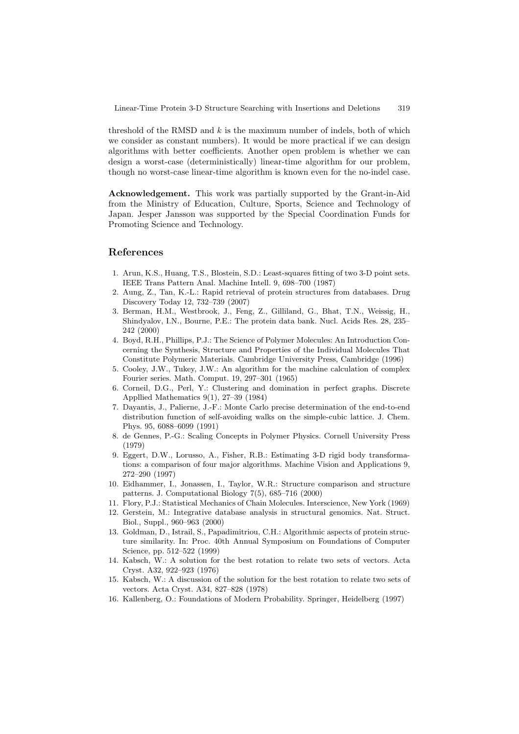threshold of the RMSD and  $k$  is the maximum number of indels, both of which we consider as constant numbers). It would be more practical if we can design algorithms with better coefficients. Another open problem is whether we can design a worst-case (deterministically) linear-time algorithm for our problem, though no worst-case linear-time algorithm is known even for the no-indel case.

**Acknowledgement.** This work was partially supported by the Grant-in-Aid from the Ministry of Education, Culture, Sports, Science and Technology of Japan. Jesper Jansson was supported by the Special Coordination Funds for Promoting Science and Technology.

## **References**

- <span id="page-9-4"></span>1. Arun, K.S., Huang, T.S., Blostein, S.D.: Least-squares fitting of two 3-D point sets. IEEE Trans Pattern Anal. Machine Intell. 9, 698–700 (1987)
- <span id="page-9-0"></span>2. Aung, Z., Tan, K.-L.: Rapid retrieval of protein structures from databases. Drug Discovery Today 12, 732–739 (2007)
- <span id="page-9-3"></span>3. Berman, H.M., Westbrook, J., Feng, Z., Gilliland, G., Bhat, T.N., Weissig, H., Shindyalov, I.N., Bourne, P.E.: The protein data bank. Nucl. Acids Res. 28, 235– 242 (2000)
- <span id="page-9-9"></span>4. Boyd, R.H., Phillips, P.J.: The Science of Polymer Molecules: An Introduction Concerning the Synthesis, Structure and Properties of the Individual Molecules That Constitute Polymeric Materials. Cambridge University Press, Cambridge (1996)
- 5. Cooley, J.W., Tukey, J.W.: An algorithm for the machine calculation of complex Fourier series. Math. Comput. 19, 297–301 (1965)
- 6. Corneil, D.G., Perl, Y.: Clustering and domination in perfect graphs. Discrete Appllied Mathematics 9(1), 27–39 (1984)
- 7. Dayantis, J., Palierne, J.-F.: Monte Carlo precise determination of the end-to-end distribution function of self-avoiding walks on the simple-cubic lattice. J. Chem. Phys. 95, 6088–6099 (1991)
- <span id="page-9-10"></span>8. de Gennes, P.-G.: Scaling Concepts in Polymer Physics. Cornell University Press (1979)
- <span id="page-9-5"></span>9. Eggert, D.W., Lorusso, A., Fisher, R.B.: Estimating 3-D rigid body transformations: a comparison of four major algorithms. Machine Vision and Applications 9, 272–290 (1997)
- <span id="page-9-1"></span>10. Eidhammer, I., Jonassen, I., Taylor, W.R.: Structure comparison and structure patterns. J. Computational Biology 7(5), 685–716 (2000)
- <span id="page-9-11"></span><span id="page-9-2"></span>11. Flory, P.J.: Statistical Mechanics of Chain Molecules. Interscience, New York (1969)
- 12. Gerstein, M.: Integrative database analysis in structural genomics. Nat. Struct. Biol., Suppl., 960–963 (2000)
- <span id="page-9-8"></span>13. Goldman, D., Istrail, S., Papadimitriou, C.H.: Algorithmic aspects of protein structure similarity. In: Proc. 40th Annual Symposium on Foundations of Computer Science, pp. 512–522 (1999)
- <span id="page-9-6"></span>14. Kabsch, W.: A solution for the best rotation to relate two sets of vectors. Acta Cryst. A32, 922–923 (1976)
- <span id="page-9-7"></span>15. Kabsch, W.: A discussion of the solution for the best rotation to relate two sets of vectors. Acta Cryst. A34, 827–828 (1978)
- 16. Kallenberg, O.: Foundations of Modern Probability. Springer, Heidelberg (1997)